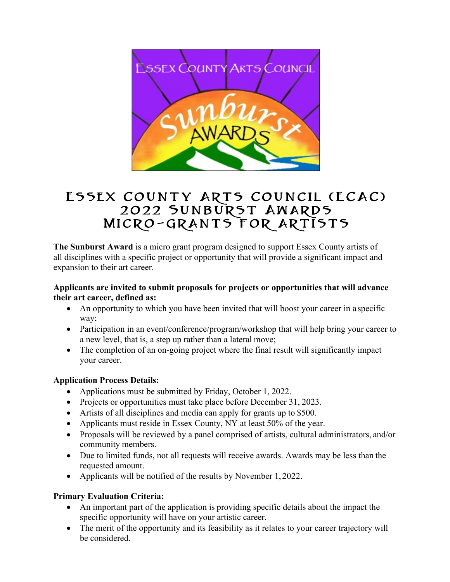

# Essex County Arts Council (ECAC) 2022 Sunburst Awards Micro-grants for artists

**The Sunburst Award** is a micro grant program designed to support Essex County artists of all disciplines with a specific project or opportunity that will provide a significant impact and expansion to their art career.

## **Applicants are invited to submit proposals for projects or opportunities that will advance their art career, defined as:**

- An opportunity to which you have been invited that will boost your career in a specific way;
- Participation in an event/conference/program/workshop that will help bring your career to a new level, that is, a step up rather than a lateral move;
- The completion of an on-going project where the final result will significantly impact your career.

# **Application Process Details:**

- Applications must be submitted by Friday, October 1, 2022.
- Projects or opportunities must take place before December 31, 2023.
- Artists of all disciplines and media can apply for grants up to \$500.
- Applicants must reside in Essex County, NY at least 50% of the year.
- Proposals will be reviewed by a panel comprised of artists, cultural administrators, and/or community members.
- Due to limited funds, not all requests will receive awards. Awards may be less than the requested amount.
- Applicants will be notified of the results by November 1, 2022.

# **Primary Evaluation Criteria:**

- An important part of the application is providing specific details about the impact the specific opportunity will have on your artistic career.
- The merit of the opportunity and its feasibility as it relates to your career trajectory will be considered.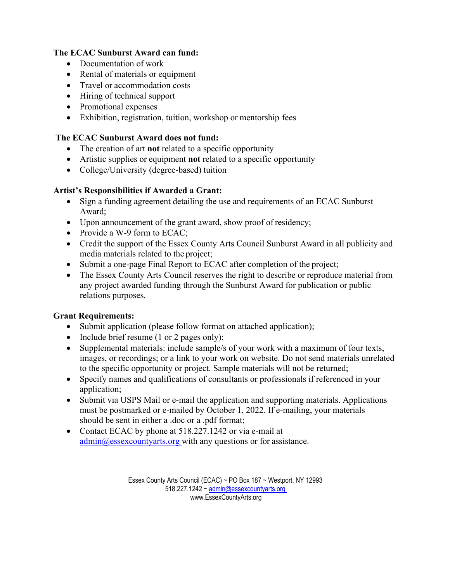## **The ECAC Sunburst Award can fund:**

- Documentation of work
- Rental of materials or equipment
- Travel or accommodation costs
- Hiring of technical support
- Promotional expenses
- Exhibition, registration, tuition, workshop or mentorship fees

## **The ECAC Sunburst Award does not fund:**

- The creation of art **not** related to a specific opportunity
- Artistic supplies or equipment **not** related to a specific opportunity
- College/University (degree-based) tuition

## **Artist's Responsibilities if Awarded a Grant:**

- Sign a funding agreement detailing the use and requirements of an ECAC Sunburst Award;
- Upon announcement of the grant award, show proof of residency;
- Provide a W-9 form to ECAC;
- Credit the support of the Essex County Arts Council Sunburst Award in all publicity and media materials related to the project;
- Submit a one-page Final Report to ECAC after completion of the project;
- The Essex County Arts Council reserves the right to describe or reproduce material from any project awarded funding through the Sunburst Award for publication or public relations purposes.

## **Grant Requirements:**

- Submit application (please follow format on attached application);
- Include brief resume (1 or 2 pages only);
- Supplemental materials: include sample/s of your work with a maximum of four texts, images, or recordings; or a link to your work on website. Do not send materials unrelated to the specific opportunity or project. Sample materials will not be returned;
- Specify names and qualifications of consultants or professionals if referenced in your application;
- Submit via USPS Mail or e-mail the application and supporting materials. Applications must be postmarked or e-mailed by October 1, 2022. If e-mailing, your materials should be sent in either a .doc or a .pdf format;
- Contact ECAC by phone at 518.227.1242 or via e-mail at  $\alpha$ dmin $\omega$ essexcountyarts.org with any questions or for assistance.